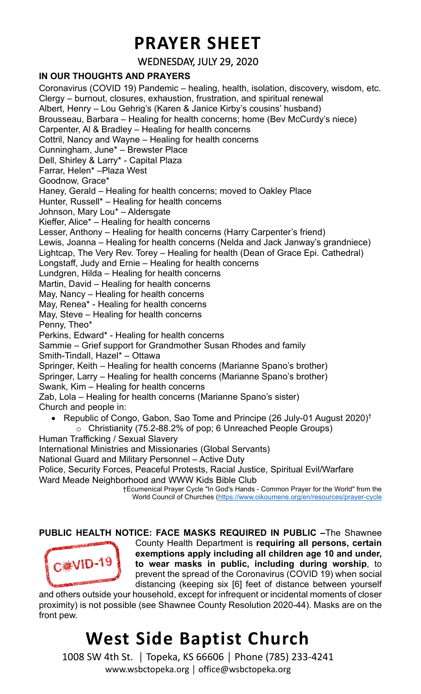#### **PRAYER SHEET**

WEDNESDAY, JULY 29, 2020

#### **IN OUR THOUGHTS AND PRAYERS**

Coronavirus (COVID 19) Pandemic – healing, health, isolation, discovery, wisdom, etc. Clergy – burnout, closures, exhaustion, frustration, and spiritual renewal Albert, Henry – Lou Gehrig's (Karen & Janice Kirby's cousins' husband) Brousseau, Barbara – Healing for health concerns; home (Bev McCurdy's niece) Carpenter, Al & Bradley – Healing for health concerns Cottril, Nancy and Wayne – Healing for health concerns Cunningham, June\* – Brewster Place Dell, Shirley & Larry\* - Capital Plaza Farrar, Helen\* –Plaza West Goodnow, Grace\* Haney, Gerald – Healing for health concerns; moved to Oakley Place Hunter, Russell\* – Healing for health concerns Johnson, Mary Lou\* – Aldersgate Kieffer, Alice\* – Healing for health concerns Lesser, Anthony – Healing for health concerns (Harry Carpenter's friend) Lewis, Joanna – Healing for health concerns (Nelda and Jack Janway's grandniece) Lightcap, The Very Rev. Torey – Healing for health (Dean of Grace Epi. Cathedral) Longstaff, Judy and Ernie – Healing for health concerns Lundgren, Hilda – Healing for health concerns Martin, David – Healing for health concerns May, Nancy – Healing for health concerns May, Renea\* - Healing for health concerns May, Steve – Healing for health concerns Penny, Theo\* Perkins, Edward\* - Healing for health concerns Sammie – Grief support for Grandmother Susan Rhodes and family Smith-Tindall, Hazel\* – Ottawa Springer, Keith – Healing for health concerns (Marianne Spano's brother) Springer, Larry – Healing for health concerns (Marianne Spano's brother) Swank, Kim – Healing for health concerns Zab, Lola – Healing for health concerns (Marianne Spano's sister) Church and people in: • Republic of Congo, Gabon, Sao Tome and Principe (26 July-01 August 2020) † o Christianity (75.2-88.2% of pop; 6 Unreached People Groups) Human Trafficking / Sexual Slavery International Ministries and Missionaries (Global Servants) National Guard and Military Personnel – Active Duty Police, Security Forces, Peaceful Protests, Racial Justice, Spiritual Evil/Warfare

Ward Meade Neighborhood and WWW Kids Bible Club

†Ecumenical Prayer Cycle "In God's Hands - Common Prayer for the World" from the World Council of Churches [\(https://www.oikoumene.org/en/resources/prayer-cycle](https://www.oikoumene.org/en/resources/prayer-cycle)

**PUBLIC HEALTH NOTICE: FACE MASKS REQUIRED IN PUBLIC –**The Shawnee



County Health Department is **requiring all persons, certain exemptions apply including all children age 10 and under, to wear masks in public, including during worship**, to prevent the spread of the Coronavirus (COVID 19) when social distancing (keeping six [6] feet of distance between yourself

and others outside your household, except for infrequent or incidental moments of closer proximity) is not possible (see Shawnee County Resolution 2020-44). Masks are on the front pew.

### **West Side Baptist Church**

1008 SW 4th St. │ Topeka, KS 66606 │ Phone (785) 233-4241 www.wsbctopeka.org │ office@wsbctopeka.org